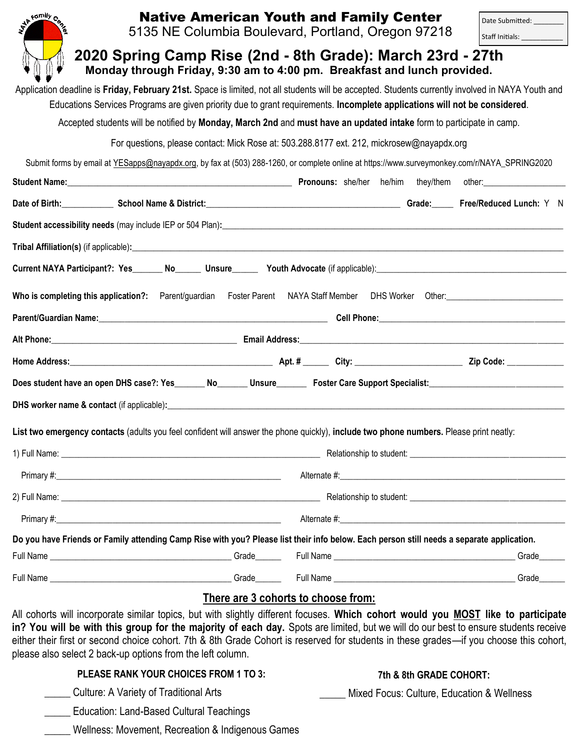| Wh Family Centre                                                                                                                       | <b>Native American Youth and Family Center</b><br>5135 NE Columbia Boulevard, Portland, Oregon 97218                                                                                                                                                                                                                                                                                                                                                                             |  |                                            |                         | Date Submitted: _________<br>Staff Initials: _____________                                                                                                                                                                     |  |
|----------------------------------------------------------------------------------------------------------------------------------------|----------------------------------------------------------------------------------------------------------------------------------------------------------------------------------------------------------------------------------------------------------------------------------------------------------------------------------------------------------------------------------------------------------------------------------------------------------------------------------|--|--------------------------------------------|-------------------------|--------------------------------------------------------------------------------------------------------------------------------------------------------------------------------------------------------------------------------|--|
| 2020 Spring Camp Rise (2nd - 8th Grade): March 23rd - 27th<br>Monday through Friday, 9:30 am to 4:00 pm. Breakfast and lunch provided. |                                                                                                                                                                                                                                                                                                                                                                                                                                                                                  |  |                                            |                         |                                                                                                                                                                                                                                |  |
|                                                                                                                                        | Application deadline is Friday, February 21st. Space is limited, not all students will be accepted. Students currently involved in NAYA Youth and                                                                                                                                                                                                                                                                                                                                |  |                                            |                         |                                                                                                                                                                                                                                |  |
|                                                                                                                                        | Educations Services Programs are given priority due to grant requirements. Incomplete applications will not be considered.                                                                                                                                                                                                                                                                                                                                                       |  |                                            |                         |                                                                                                                                                                                                                                |  |
|                                                                                                                                        | Accepted students will be notified by Monday, March 2nd and must have an updated intake form to participate in camp.                                                                                                                                                                                                                                                                                                                                                             |  |                                            |                         |                                                                                                                                                                                                                                |  |
|                                                                                                                                        | For questions, please contact: Mick Rose at: 503.288.8177 ext. 212, mickrosew@nayapdx.org                                                                                                                                                                                                                                                                                                                                                                                        |  |                                            |                         |                                                                                                                                                                                                                                |  |
|                                                                                                                                        | Submit forms by email at YESapps@nayapdx.org, by fax at (503) 288-1260, or complete online at https://www.surveymonkey.com/r/NAYA_SPRING2020                                                                                                                                                                                                                                                                                                                                     |  |                                            |                         |                                                                                                                                                                                                                                |  |
|                                                                                                                                        | Student Name: <u>Contract Communications</u> Changes and Changes and Changes Stefall Changes and Changes and Changes and Changes and Changes and Changes and Changes and Changes and Changes and Changes and Changes and Changes an                                                                                                                                                                                                                                              |  |                                            |                         |                                                                                                                                                                                                                                |  |
|                                                                                                                                        | Date of Birth: School Name & District: Chame and School Name & District: Network: 2014 19: 2014 19: 2014 19: 2014                                                                                                                                                                                                                                                                                                                                                                |  |                                            |                         |                                                                                                                                                                                                                                |  |
|                                                                                                                                        | Student accessibility needs (may include IEP or 504 Plan):<br>Student accessibility needs (may include IEP or 504 Plan):                                                                                                                                                                                                                                                                                                                                                         |  |                                            |                         |                                                                                                                                                                                                                                |  |
|                                                                                                                                        |                                                                                                                                                                                                                                                                                                                                                                                                                                                                                  |  |                                            |                         |                                                                                                                                                                                                                                |  |
|                                                                                                                                        |                                                                                                                                                                                                                                                                                                                                                                                                                                                                                  |  |                                            |                         |                                                                                                                                                                                                                                |  |
| Who is completing this application?:                                                                                                   | Parent/guardian                                                                                                                                                                                                                                                                                                                                                                                                                                                                  |  |                                            |                         | Foster Parent NAYA Staff Member DHS Worker Other: National Content Content Content Content Content Content Content Content Content Content Content Content Content Content Content Content Content Content Content Content Con |  |
|                                                                                                                                        |                                                                                                                                                                                                                                                                                                                                                                                                                                                                                  |  |                                            |                         |                                                                                                                                                                                                                                |  |
|                                                                                                                                        |                                                                                                                                                                                                                                                                                                                                                                                                                                                                                  |  |                                            |                         |                                                                                                                                                                                                                                |  |
|                                                                                                                                        |                                                                                                                                                                                                                                                                                                                                                                                                                                                                                  |  |                                            |                         |                                                                                                                                                                                                                                |  |
|                                                                                                                                        |                                                                                                                                                                                                                                                                                                                                                                                                                                                                                  |  |                                            |                         |                                                                                                                                                                                                                                |  |
|                                                                                                                                        | DHS worker name & contact (if applicable): example and a set of the set of the set of the set of the set of the set of the set of the set of the set of the set of the set of the set of the set of the set of the set of the                                                                                                                                                                                                                                                    |  |                                            |                         |                                                                                                                                                                                                                                |  |
|                                                                                                                                        | List two emergency contacts (adults you feel confident will answer the phone quickly), include two phone numbers. Please print neatly:                                                                                                                                                                                                                                                                                                                                           |  |                                            |                         |                                                                                                                                                                                                                                |  |
|                                                                                                                                        |                                                                                                                                                                                                                                                                                                                                                                                                                                                                                  |  |                                            |                         |                                                                                                                                                                                                                                |  |
|                                                                                                                                        |                                                                                                                                                                                                                                                                                                                                                                                                                                                                                  |  |                                            |                         |                                                                                                                                                                                                                                |  |
|                                                                                                                                        |                                                                                                                                                                                                                                                                                                                                                                                                                                                                                  |  |                                            |                         |                                                                                                                                                                                                                                |  |
|                                                                                                                                        |                                                                                                                                                                                                                                                                                                                                                                                                                                                                                  |  |                                            |                         |                                                                                                                                                                                                                                |  |
|                                                                                                                                        | Do you have Friends or Family attending Camp Rise with you? Please list their info below. Each person still needs a separate application.                                                                                                                                                                                                                                                                                                                                        |  |                                            |                         |                                                                                                                                                                                                                                |  |
|                                                                                                                                        |                                                                                                                                                                                                                                                                                                                                                                                                                                                                                  |  |                                            |                         |                                                                                                                                                                                                                                |  |
|                                                                                                                                        |                                                                                                                                                                                                                                                                                                                                                                                                                                                                                  |  |                                            |                         |                                                                                                                                                                                                                                |  |
|                                                                                                                                        |                                                                                                                                                                                                                                                                                                                                                                                                                                                                                  |  | There are 3 cohorts to choose from:        |                         |                                                                                                                                                                                                                                |  |
|                                                                                                                                        | All cohorts will incorporate similar topics, but with slightly different focuses. Which cohort would you MOST like to participate<br>in? You will be with this group for the majority of each day. Spots are limited, but we will do our best to ensure students receive<br>either their first or second choice cohort. 7th & 8th Grade Cohort is reserved for students in these grades—if you choose this cohort,<br>please also select 2 back-up options from the left column. |  |                                            |                         |                                                                                                                                                                                                                                |  |
|                                                                                                                                        | PLEASE RANK YOUR CHOICES FROM 1 TO 3:                                                                                                                                                                                                                                                                                                                                                                                                                                            |  |                                            | 7th & 8th GRADE COHORT: |                                                                                                                                                                                                                                |  |
| <b>Culture: A Variety of Traditional Arts</b>                                                                                          |                                                                                                                                                                                                                                                                                                                                                                                                                                                                                  |  | Mixed Focus: Culture, Education & Wellness |                         |                                                                                                                                                                                                                                |  |

|  | Education: Land-Based Cultural Teachings |  |
|--|------------------------------------------|--|
|  |                                          |  |

\_\_\_\_\_ Wellness: Movement, Recreation & Indigenous Games